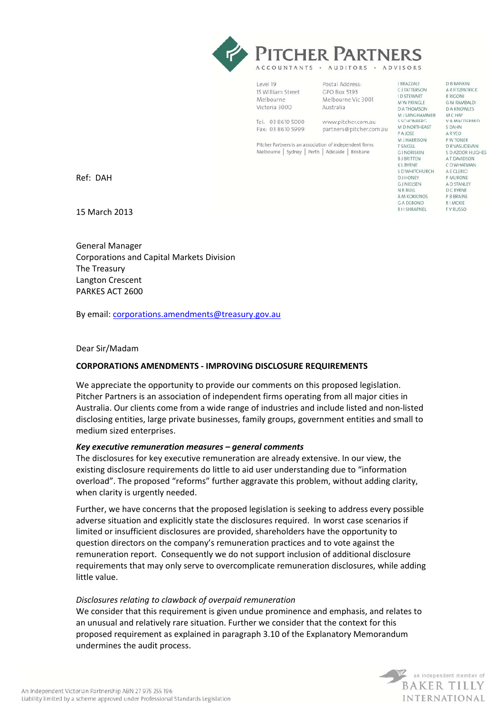

| Level 19          |  |
|-------------------|--|
| 15 William Street |  |
| Melbourne         |  |
| Victoria 3000     |  |
| Tel: 03 8610 5000 |  |

Fax: 03 8610 5999

Postal Address: CPO Boy 5193 Melbourne Vic 3001 Australia

www.pitcher.com.au partners@pitcher.com.au

Pitcher Partners is an association of independent firms Melbourne | Sydney | Perth | Adelaide | Brisbane

**D B RANKIN** CJTATTERSON A R FITZPATRICK **R RIGONI** G M RAMBALDI **DATHOMSON DA KNOWLES M J LANGHAMMER M C HAY** V A MACDERMID M D NORTHEAST S DAHN ARYEO M I HAPPISON P W TONER D R VASUDEVAN S D AZOOR HUGHES A T DAVIDSON C D WHATMAN S D WHITCHURCH A E CLERICI **P MLIRONE** A D STANLEY  $D \subset RVRNF$ A M KOKKINOS P B BRAINE RIMCKIE **RH SHRAPNEL** F V RUSSO

**J BRAZZALE** 

**ID STEWART** 

M W PRINGLE

C CCUONDEDC

P A JOSE

**T SAKELL** 

G I NORISKIN

**RIBRITTEN** 

**KLBYRNE** 

**D.I.HONEY** 

N R RUIL

**GJ NIELSEN** 

G A DEBONO

Ref: DAH

15 March 2013

General Manager Corporations and Capital Markets Division The Treasury Langton Crescent PARKES ACT 2600

By email: corporations.amendments@treasury.gov.au

#### Dear Sir/Madam

## **CORPORATIONS AMENDMENTS ‐ IMPROVING DISCLOSURE REQUIREMENTS**

We appreciate the opportunity to provide our comments on this proposed legislation. Pitcher Partners is an association of independent firms operating from all major cities in Australia. Our clients come from a wide range of industries and include listed and non‐listed disclosing entities, large private businesses, family groups, government entities and small to medium sized enterprises.

#### *Key executive remuneration measures – general comments*

The disclosures for key executive remuneration are already extensive. In our view, the existing disclosure requirements do little to aid user understanding due to "information overload". The proposed "reforms" further aggravate this problem, without adding clarity, when clarity is urgently needed.

Further, we have concerns that the proposed legislation is seeking to address every possible adverse situation and explicitly state the disclosures required. In worst case scenarios if limited or insufficient disclosures are provided, shareholders have the opportunity to question directors on the company's remuneration practices and to vote against the remuneration report. Consequently we do not support inclusion of additional disclosure requirements that may only serve to overcomplicate remuneration disclosures, while adding little value.

#### *Disclosures relating to clawback of overpaid remuneration*

We consider that this requirement is given undue prominence and emphasis, and relates to an unusual and relatively rare situation. Further we consider that the context for this proposed requirement as explained in paragraph 3.10 of the Explanatory Memorandum undermines the audit process.

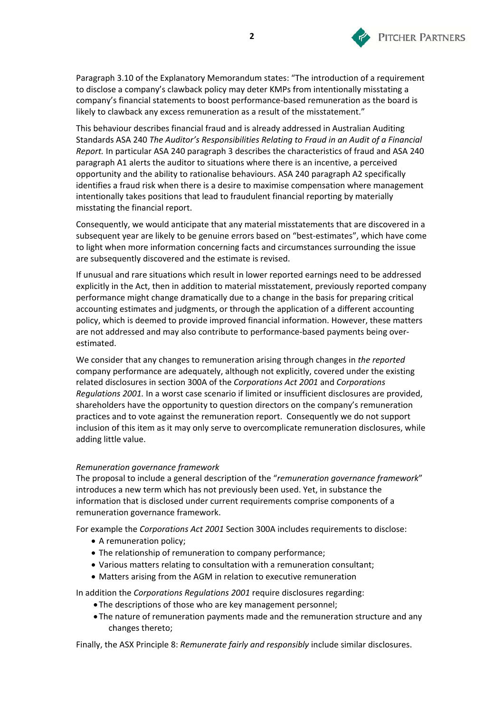

Paragraph 3.10 of the Explanatory Memorandum states: "The introduction of a requirement to disclose a company's clawback policy may deter KMPs from intentionally misstating a company's financial statements to boost performance-based remuneration as the board is likely to clawback any excess remuneration as a result of the misstatement."

This behaviour describes financial fraud and is already addressed in Australian Auditing Standards ASA 240 *The Auditor's Responsibilities Relating to Fraud in an Audit of a Financial Report.* In particular ASA 240 paragraph 3 describes the characteristics of fraud and ASA 240 paragraph A1 alerts the auditor to situations where there is an incentive, a perceived opportunity and the ability to rationalise behaviours. ASA 240 paragraph A2 specifically identifies a fraud risk when there is a desire to maximise compensation where management intentionally takes positions that lead to fraudulent financial reporting by materially misstating the financial report.

Consequently, we would anticipate that any material misstatements that are discovered in a subsequent year are likely to be genuine errors based on "best-estimates", which have come to light when more information concerning facts and circumstances surrounding the issue are subsequently discovered and the estimate is revised.

If unusual and rare situations which result in lower reported earnings need to be addressed explicitly in the Act, then in addition to material misstatement, previously reported company performance might change dramatically due to a change in the basis for preparing critical accounting estimates and judgments, or through the application of a different accounting policy, which is deemed to provide improved financial information. However, these matters are not addressed and may also contribute to performance-based payments being overestimated.

We consider that any changes to remuneration arising through changes in *the reported* company performance are adequately, although not explicitly, covered under the existing related disclosures in section 300A of the *Corporations Act 2001* and *Corporations Regulations 2001.* In a worst case scenario if limited or insufficient disclosures are provided, shareholders have the opportunity to question directors on the company's remuneration practices and to vote against the remuneration report. Consequently we do not support inclusion of this item as it may only serve to overcomplicate remuneration disclosures, while adding little value.

#### *Remuneration governance framework*

The proposal to include a general description of the "*remuneration governance framework*" introduces a new term which has not previously been used. Yet, in substance the information that is disclosed under current requirements comprise components of a remuneration governance framework.

For example the *Corporations Act 2001* Section 300A includes requirements to disclose:

- A remuneration policy;
- The relationship of remuneration to company performance;
- Various matters relating to consultation with a remuneration consultant;
- Matters arising from the AGM in relation to executive remuneration

In addition the *Corporations Regulations 2001* require disclosures regarding:

- The descriptions of those who are key management personnel;
- The nature of remuneration payments made and the remuneration structure and any changes thereto;

Finally, the ASX Principle 8: *Remunerate fairly and responsibly* include similar disclosures.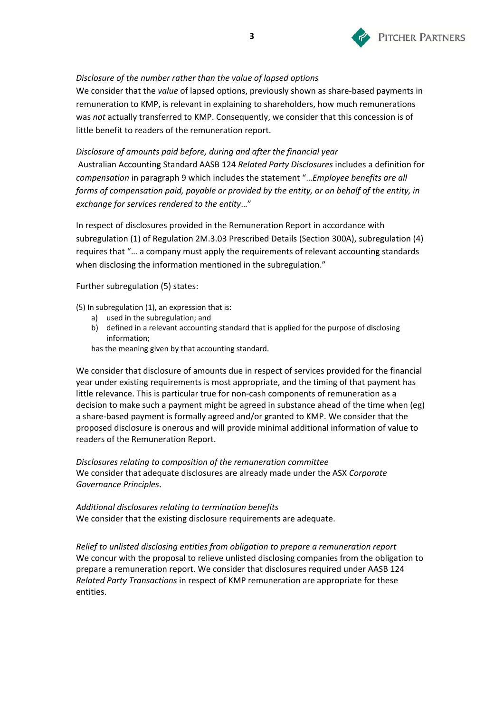

# *Disclosure of the number rather than the value of lapsed options*

We consider that the *value* of lapsed options, previously shown as share-based payments in remuneration to KMP, is relevant in explaining to shareholders, how much remunerations was *not* actually transferred to KMP. Consequently, we consider that this concession is of little benefit to readers of the remuneration report.

*Disclosure of amounts paid before, during and after the financial year* Australian Accounting Standard AASB 124 *Related Party Disclosures* includes a definition for *compensation* in paragraph 9 which includes the statement "…*Employee benefits are all forms of compensation paid, payable or provided by the entity, or on behalf of the entity, in exchange for services rendered to the entity*…"

In respect of disclosures provided in the Remuneration Report in accordance with subregulation (1) of Regulation 2M.3.03 Prescribed Details (Section 300A), subregulation (4) requires that "… a company must apply the requirements of relevant accounting standards when disclosing the information mentioned in the subregulation."

Further subregulation (5) states:

(5) In subregulation (1), an expression that is:

- a) used in the subregulation; and
- b) defined in a relevant accounting standard that is applied for the purpose of disclosing information;

has the meaning given by that accounting standard.

We consider that disclosure of amounts due in respect of services provided for the financial year under existing requirements is most appropriate, and the timing of that payment has little relevance. This is particular true for non‐cash components of remuneration as a decision to make such a payment might be agreed in substance ahead of the time when (eg) a share‐based payment is formally agreed and/or granted to KMP. We consider that the proposed disclosure is onerous and will provide minimal additional information of value to readers of the Remuneration Report.

*Disclosures relating to composition of the remuneration committee* We consider that adequate disclosures are already made under the ASX *Corporate Governance Principles*.

*Additional disclosures relating to termination benefits* We consider that the existing disclosure requirements are adequate.

*Relief to unlisted disclosing entities from obligation to prepare a remuneration report*  We concur with the proposal to relieve unlisted disclosing companies from the obligation to prepare a remuneration report. We consider that disclosures required under AASB 124 *Related Party Transactions* in respect of KMP remuneration are appropriate for these entities.